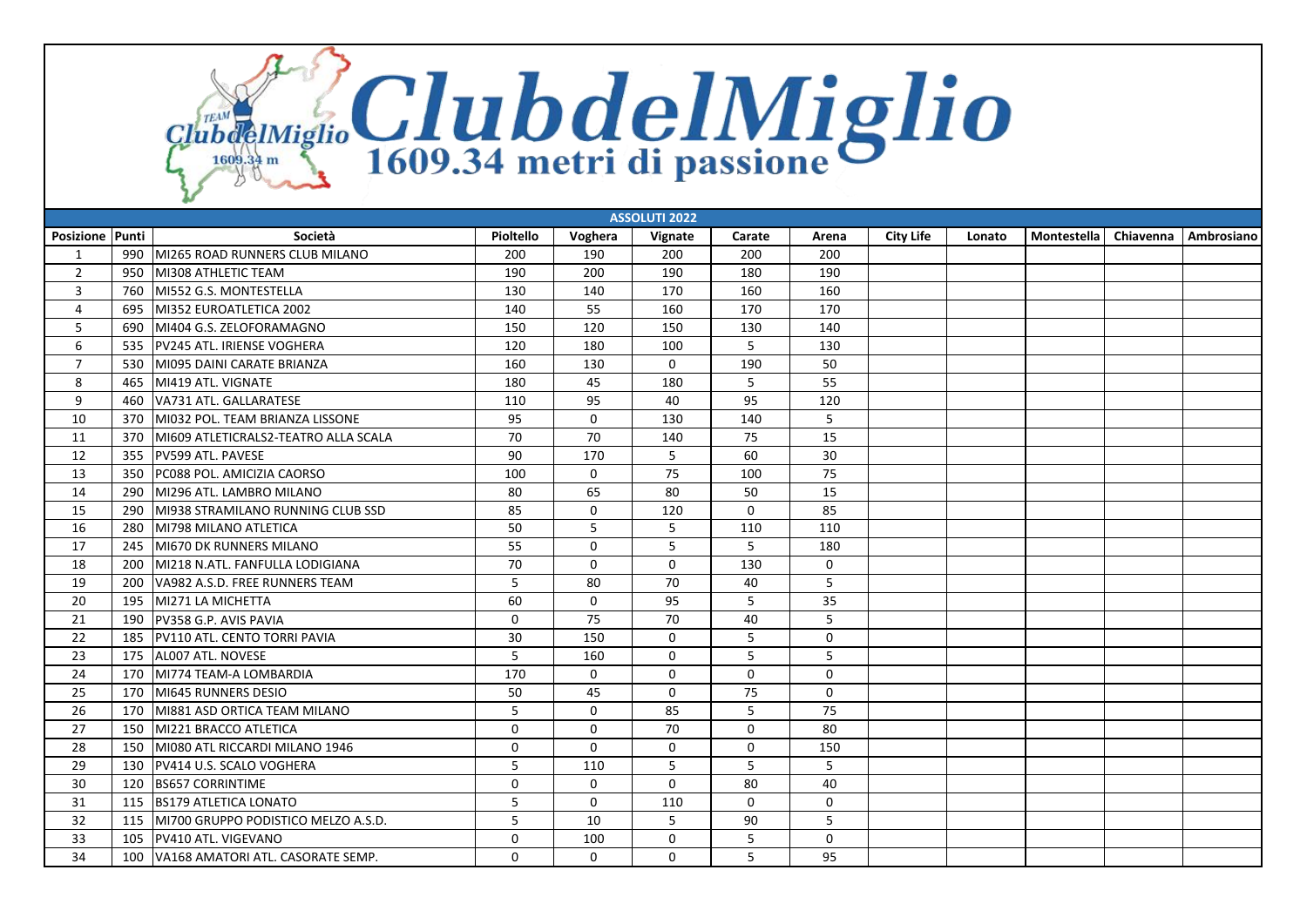ClubdeIMiglio ClubdelMiglio

|                 | <b>ASSOLUTI 2022</b> |                                      |             |              |              |             |             |                  |        |             |           |            |  |
|-----------------|----------------------|--------------------------------------|-------------|--------------|--------------|-------------|-------------|------------------|--------|-------------|-----------|------------|--|
| Posizione Punti |                      | Società                              | Pioltello   | Voghera      | Vignate      | Carate      | Arena       | <b>City Life</b> | Lonato | Montestella | Chiavenna | Ambrosiano |  |
| 1               | 990                  | MI265 ROAD RUNNERS CLUB MILANO       | 200         | 190          | 200          | 200         | 200         |                  |        |             |           |            |  |
| $\overline{2}$  | 950                  | <b>MI308 ATHLETIC TEAM</b>           | 190         | 200          | 190          | 180         | 190         |                  |        |             |           |            |  |
| 3               | 760                  | MI552 G.S. MONTESTELLA               | 130         | 140          | 170          | 160         | 160         |                  |        |             |           |            |  |
| 4               | 695                  | MI352 EUROATLETICA 2002              | 140         | 55           | 160          | 170         | 170         |                  |        |             |           |            |  |
| 5               | 690                  | MI404 G.S. ZELOFORAMAGNO             | 150         | 120          | 150          | 130         | 140         |                  |        |             |           |            |  |
| 6               | 535                  | PV245 ATL. IRIENSE VOGHERA           | 120         | 180          | 100          | 5           | 130         |                  |        |             |           |            |  |
| $\overline{7}$  | 530                  | MI095 DAINI CARATE BRIANZA           | 160         | 130          | $\mathbf 0$  | 190         | 50          |                  |        |             |           |            |  |
| 8               | 465                  | MI419 ATL. VIGNATE                   | 180         | 45           | 180          | 5           | 55          |                  |        |             |           |            |  |
| 9               | 460                  | VA731 ATL. GALLARATESE               | 110         | 95           | 40           | 95          | 120         |                  |        |             |           |            |  |
| 10              | 370                  | MI032 POL. TEAM BRIANZA LISSONE      | 95          | $\mathbf 0$  | 130          | 140         | 5           |                  |        |             |           |            |  |
| 11              | 370                  | MI609 ATLETICRALS2-TEATRO ALLA SCALA | 70          | 70           | 140          | 75          | 15          |                  |        |             |           |            |  |
| 12              | 355                  | PV599 ATL. PAVESE                    | 90          | 170          | 5            | 60          | 30          |                  |        |             |           |            |  |
| 13              | 350                  | PC088 POL. AMICIZIA CAORSO           | 100         | $\Omega$     | 75           | 100         | 75          |                  |        |             |           |            |  |
| 14              | 290                  | MI296 ATL. LAMBRO MILANO             | 80          | 65           | 80           | 50          | 15          |                  |        |             |           |            |  |
| 15              | 290                  | MI938 STRAMILANO RUNNING CLUB SSD    | 85          | $\mathbf 0$  | 120          | $\mathbf 0$ | 85          |                  |        |             |           |            |  |
| 16              | 280                  | lMI798 MILANO ATLETICA               | 50          | 5            | 5            | 110         | 110         |                  |        |             |           |            |  |
| 17              | 245                  | MI670 DK RUNNERS MILANO              | 55          | $\mathbf 0$  | 5            | 5           | 180         |                  |        |             |           |            |  |
| 18              | 200                  | lMI218 N.ATL. FANFULLA LODIGIANA     | 70          | $\mathbf 0$  | $\mathbf 0$  | 130         | 0           |                  |        |             |           |            |  |
| 19              | 200                  | VA982 A.S.D. FREE RUNNERS TEAM       | 5           | 80           | 70           | 40          | 5           |                  |        |             |           |            |  |
| 20              | 195                  | MI271 LA MICHETTA                    | 60          | $\mathbf{0}$ | 95           | 5           | 35          |                  |        |             |           |            |  |
| 21              | 190                  | PV358 G.P. AVIS PAVIA                | 0           | 75           | 70           | 40          | 5           |                  |        |             |           |            |  |
| 22              | 185                  | PV110 ATL. CENTO TORRI PAVIA         | 30          | 150          | $\Omega$     | 5           | $\mathbf 0$ |                  |        |             |           |            |  |
| 23              | 175                  | AL007 ATL. NOVESE                    | 5           | 160          | $\mathbf 0$  | 5           | 5           |                  |        |             |           |            |  |
| 24              | 170                  | MI774 TEAM-A LOMBARDIA               | 170         | $\mathbf 0$  | $\mathbf 0$  | $\mathbf 0$ | $\mathbf 0$ |                  |        |             |           |            |  |
| 25              | 170                  | MI645 RUNNERS DESIO                  | 50          | 45           | $\mathbf{0}$ | 75          | $\Omega$    |                  |        |             |           |            |  |
| 26              | 170                  | MI881 ASD ORTICA TEAM MILANO         | 5           | $\mathbf 0$  | 85           | 5           | 75          |                  |        |             |           |            |  |
| 27              | 150                  | MI221 BRACCO ATLETICA                | $\mathbf 0$ | $\mathbf 0$  | 70           | $\Omega$    | 80          |                  |        |             |           |            |  |
| 28              | 150                  | MI080 ATL RICCARDI MILANO 1946       | $\Omega$    | $\Omega$     | $\Omega$     | $\Omega$    | 150         |                  |        |             |           |            |  |
| 29              | 130                  | PV414 U.S. SCALO VOGHERA             | 5           | 110          | 5            | 5           | 5           |                  |        |             |           |            |  |
| 30              | 120                  | <b>BS657 CORRINTIME</b>              | $\mathbf 0$ | $\Omega$     | $\Omega$     | 80          | 40          |                  |        |             |           |            |  |
| 31              | 115                  | <b>BS179 ATLETICA LONATO</b>         | 5           | $\mathbf{0}$ | 110          | $\Omega$    | $\mathbf 0$ |                  |        |             |           |            |  |
| 32              | 115                  | MI700 GRUPPO PODISTICO MELZO A.S.D.  | 5           | 10           | 5            | 90          | 5           |                  |        |             |           |            |  |
| 33              | 105                  | <b>PV410 ATL, VIGEVANO</b>           | 0           | 100          | 0            | 5           | $\mathbf 0$ |                  |        |             |           |            |  |
| 34              | 100                  | VA168 AMATORI ATL. CASORATE SEMP.    | $\Omega$    | $\mathbf{0}$ | $\Omega$     | 5           | 95          |                  |        |             |           |            |  |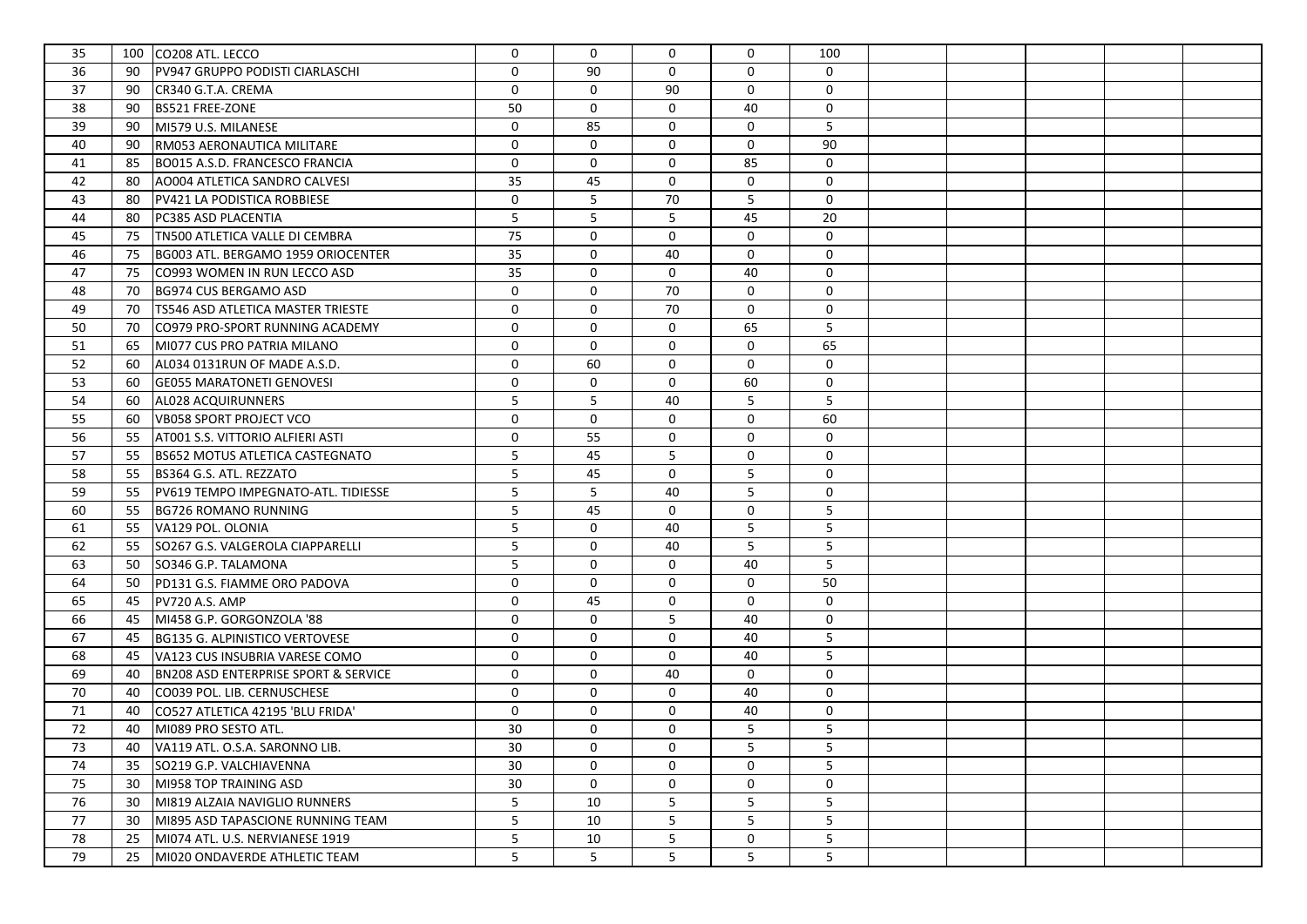| 35 |    | 100 CO208 ATL. LECCO                            | $\mathbf 0$ | $\Omega$       | 0            | 0           | 100            |  |  |  |
|----|----|-------------------------------------------------|-------------|----------------|--------------|-------------|----------------|--|--|--|
| 36 | 90 | PV947 GRUPPO PODISTI CIARLASCHI                 | $\mathbf 0$ | 90             | $\mathbf{0}$ | 0           | 0              |  |  |  |
| 37 | 90 | CR340 G.T.A. CREMA                              | $\mathbf 0$ | $\mathbf{0}$   | 90           | 0           | 0              |  |  |  |
| 38 | 90 | <b>BS521 FREE-ZONE</b>                          | 50          | $\mathbf 0$    | $\mathbf 0$  | 40          | $\mathsf{O}$   |  |  |  |
| 39 | 90 | MI579 U.S. MILANESE                             | $\mathbf 0$ | 85             | $\mathbf 0$  | 0           | 5              |  |  |  |
| 40 | 90 | RM053 AERONAUTICA MILITARE                      | 0           | $\mathbf{0}$   | $\mathbf 0$  | 0           | 90             |  |  |  |
| 41 | 85 | BO015 A.S.D. FRANCESCO FRANCIA                  | $\mathbf 0$ | $\mathbf 0$    | $\mathbf 0$  | 85          | $\mathsf{O}$   |  |  |  |
| 42 | 80 | AO004 ATLETICA SANDRO CALVESI                   | 35          | 45             | $\mathbf 0$  | $\mathbf 0$ | 0              |  |  |  |
| 43 | 80 | PV421 LA PODISTICA ROBBIESE                     | $\mathbf 0$ | 5              | 70           | 5           | $\mathbf 0$    |  |  |  |
| 44 | 80 | PC385 ASD PLACENTIA                             | 5           | 5              | 5            | 45          | 20             |  |  |  |
| 45 | 75 | TN500 ATLETICA VALLE DI CEMBRA                  | 75          | $\mathbf 0$    | $\mathbf 0$  | 0           | 0              |  |  |  |
| 46 | 75 | BG003 ATL. BERGAMO 1959 ORIOCENTER              | 35          | 0              | 40           | $\mathbf 0$ | 0              |  |  |  |
| 47 | 75 | CO993 WOMEN IN RUN LECCO ASD                    | 35          | 0              | $\mathbf 0$  | 40          | 0              |  |  |  |
| 48 | 70 | BG974 CUS BERGAMO ASD                           | $\mathbf 0$ | 0              | 70           | $\mathbf 0$ | 0              |  |  |  |
| 49 | 70 | TS546 ASD ATLETICA MASTER TRIESTE               | $\mathbf 0$ | 0              | 70           | $\mathbf 0$ | 0              |  |  |  |
| 50 | 70 | CO979 PRO-SPORT RUNNING ACADEMY                 | $\mathbf 0$ | 0              | $\mathbf 0$  | 65          | 5              |  |  |  |
| 51 | 65 | MI077 CUS PRO PATRIA MILANO                     | $\mathbf 0$ | 0              | $\mathbf 0$  | 0           | 65             |  |  |  |
| 52 | 60 | AL034 0131RUN OF MADE A.S.D.                    | 0           | 60             | $\mathbf 0$  | 0           | $\mathsf{O}$   |  |  |  |
| 53 | 60 | <b>GE055 MARATONETI GENOVESI</b>                | 0           | $\mathbf 0$    | 0            | 60          | 0              |  |  |  |
| 54 | 60 | AL028 ACQUIRUNNERS                              | 5           | 5              | 40           | 5           | 5              |  |  |  |
| 55 | 60 | VB058 SPORT PROJECT VCO                         | 0           | 0              | 0            | $\mathbf 0$ | 60             |  |  |  |
| 56 | 55 | AT001 S.S. VITTORIO ALFIERI ASTI                | 0           | 55             | 0            | $\mathbf 0$ | $\mathsf{O}$   |  |  |  |
| 57 | 55 | <b>BS652 MOTUS ATLETICA CASTEGNATO</b>          | 5           | 45             | 5            | $\mathbf 0$ | 0              |  |  |  |
| 58 | 55 | BS364 G.S. ATL. REZZATO                         | 5           | 45             | 0            | 5           | 0              |  |  |  |
| 59 | 55 | PV619 TEMPO IMPEGNATO-ATL. TIDIESSE             | 5           | 5              | 40           | 5           | 0              |  |  |  |
| 60 | 55 | <b>BG726 ROMANO RUNNING</b>                     | 5           | 45             | 0            | 0           | 5              |  |  |  |
| 61 | 55 | VA129 POL. OLONIA                               | 5           | 0              | 40           | 5           | $\overline{5}$ |  |  |  |
| 62 | 55 | SO267 G.S. VALGEROLA CIAPPARELLI                | 5           | 0              | 40           | 5           | 5              |  |  |  |
| 63 | 50 | SO346 G.P. TALAMONA                             | 5           | $\mathbf 0$    | $\mathbf 0$  | 40          | 5              |  |  |  |
| 64 | 50 | PD131 G.S. FIAMME ORO PADOVA                    | $\mathbf 0$ | $\mathbf 0$    | $\mathbf 0$  | 0           | 50             |  |  |  |
| 65 | 45 | PV720 A.S. AMP                                  | $\mathbf 0$ | 45             | $\mathbf 0$  | 0           | 0              |  |  |  |
| 66 | 45 | MI458 G.P. GORGONZOLA '88                       | 0           | $\mathbf 0$    | 5            | 40          | 0              |  |  |  |
| 67 | 45 | BG135 G. ALPINISTICO VERTOVESE                  | $\mathbf 0$ | 0              | $\mathbf 0$  | 40          | 5              |  |  |  |
| 68 | 45 | VA123 CUS INSUBRIA VARESE COMO                  | $\mathbf 0$ | 0              | $\mathbf 0$  | 40          | 5              |  |  |  |
| 69 | 40 | <b>BN208 ASD ENTERPRISE SPORT &amp; SERVICE</b> | $\mathbf 0$ | $\mathbf 0$    | 40           | $\mathbf 0$ | $\mathsf{O}$   |  |  |  |
| 70 | 40 | CO039 POL. LIB. CERNUSCHESE                     | $\mathbf 0$ | $\mathbf 0$    | $\mathbf 0$  | 40          | $\mathbf 0$    |  |  |  |
| 71 | 40 | CO527 ATLETICA 42195 'BLU FRIDA'                | 0           | 0              | $\mathbf 0$  | 40          | 0              |  |  |  |
| 72 | 40 | MI089 PRO SESTO ATL.                            | 30          | 0              | $\mathbf 0$  | 5           | 5              |  |  |  |
| 73 | 40 | VA119 ATL. O.S.A. SARONNO LIB.                  | 30          | 0              | 0            | 5           | 5              |  |  |  |
| 74 | 35 | SO219 G.P. VALCHIAVENNA                         | 30          | $\mathbf{0}$   | $\mathbf 0$  | $\mathbf 0$ | 5              |  |  |  |
| 75 | 30 | MI958 TOP TRAINING ASD                          | 30          | 0              | 0            | 0           | 0              |  |  |  |
| 76 | 30 | MI819 ALZAIA NAVIGLIO RUNNERS                   | 5           | 10             | 5            | 5           | 5              |  |  |  |
| 77 | 30 | MI895 ASD TAPASCIONE RUNNING TEAM               | 5           | 10             | 5            | 5           | 5              |  |  |  |
| 78 | 25 | MI074 ATL. U.S. NERVIANESE 1919                 | 5           | 10             | 5            | 0           | 5              |  |  |  |
| 79 | 25 | MI020 ONDAVERDE ATHLETIC TEAM                   | 5           | 5 <sup>5</sup> | 5            | 5           | 5              |  |  |  |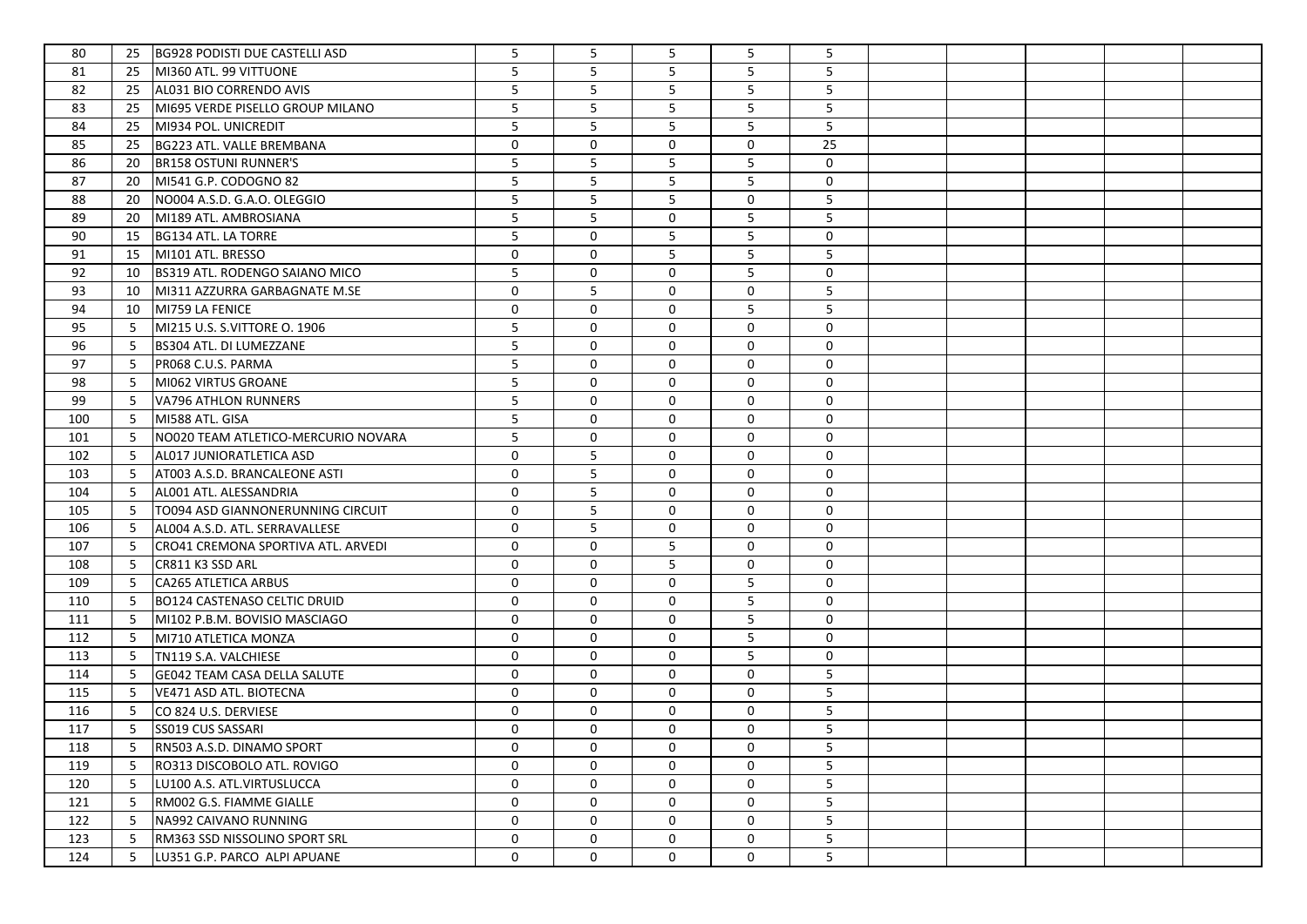| 80  | 25 | <b>BG928 PODISTI DUE CASTELLI ASD</b> | 5           | 5           | 5           | 5           | 5               |  |  |  |
|-----|----|---------------------------------------|-------------|-------------|-------------|-------------|-----------------|--|--|--|
| 81  | 25 | MI360 ATL. 99 VITTUONE                | 5           | 5           | 5           | 5           | 5               |  |  |  |
| 82  | 25 | AL031 BIO CORRENDO AVIS               | 5           | 5           | 5           | 5           | 5               |  |  |  |
| 83  | 25 | MI695 VERDE PISELLO GROUP MILANO      | 5           | 5           | 5           | 5           | 5               |  |  |  |
| 84  | 25 | MI934 POL. UNICREDIT                  | 5           | 5           | 5           | 5           | 5               |  |  |  |
| 85  | 25 | BG223 ATL. VALLE BREMBANA             | $\mathbf 0$ | $\mathbf 0$ | $\mathbf 0$ | $\mathbf 0$ | 25              |  |  |  |
| 86  | 20 | <b>BR158 OSTUNI RUNNER'S</b>          | 5           | 5           | 5           | 5           | $\mathsf{O}$    |  |  |  |
| 87  | 20 | MI541 G.P. CODOGNO 82                 | 5           | 5           | 5           | 5           | 0               |  |  |  |
| 88  | 20 | NO004 A.S.D. G.A.O. OLEGGIO           | 5           | 5           | 5           | $\mathbf 0$ | 5               |  |  |  |
| 89  | 20 | MI189 ATL. AMBROSIANA                 | 5           | 5           | 0           | 5           | 5               |  |  |  |
| 90  | 15 | BG134 ATL. LA TORRE                   | 5           | 0           | 5           | 5           | 0               |  |  |  |
| 91  | 15 | MI101 ATL. BRESSO                     | 0           | 0           | 5           | 5           | 5               |  |  |  |
| 92  | 10 | BS319 ATL. RODENGO SAIANO MICO        | 5           | 0           | $\mathbf 0$ | 5           | 0               |  |  |  |
| 93  | 10 | MI311 AZZURRA GARBAGNATE M.SE         | 0           | 5           | $\mathbf 0$ | 0           | 5               |  |  |  |
| 94  | 10 | MI759 LA FENICE                       | 0           | 0           | 0           | 5           | 5               |  |  |  |
| 95  | 5  | MI215 U.S. S.VITTORE O. 1906          | 5           | 0           | 0           | $\mathbf 0$ | 0               |  |  |  |
| 96  | 5  | BS304 ATL. DI LUMEZZANE               | 5           | 0           | 0           | 0           | $\mathsf{O}$    |  |  |  |
| 97  | 5  | PR068 C.U.S. PARMA                    | 5           | 0           | 0           | 0           | $\mathsf{O}$    |  |  |  |
| 98  | 5  | MI062 VIRTUS GROANE                   | 5           | $\mathbf 0$ | 0           | $\mathbf 0$ | $\mathsf{O}$    |  |  |  |
| 99  | 5  | VA796 ATHLON RUNNERS                  | 5           | $\mathbf 0$ | 0           | $\mathbf 0$ | 0               |  |  |  |
| 100 | 5  | MI588 ATL. GISA                       | 5           | $\mathbf 0$ | 0           | 0           | 0               |  |  |  |
| 101 | 5  | NO020 TEAM ATLETICO-MERCURIO NOVARA   | 5           | $\mathbf 0$ | 0           | 0           | 0               |  |  |  |
| 102 | 5  | AL017 JUNIORATLETICA ASD              | 0           | 5           | 0           | $\mathbf 0$ | 0               |  |  |  |
| 103 | 5  | AT003 A.S.D. BRANCALEONE ASTI         | 0           | 5           | 0           | 0           | 0               |  |  |  |
| 104 | 5  | AL001 ATL. ALESSANDRIA                | 0           | 5           | 0           | 0           | 0               |  |  |  |
| 105 | 5  | TO094 ASD GIANNONERUNNING CIRCUIT     | 0           | 5           | 0           | 0           | 0               |  |  |  |
| 106 | 5  | AL004 A.S.D. ATL. SERRAVALLESE        | 0           | 5           | 0           | 0           | $\mathsf{O}$    |  |  |  |
| 107 | 5  | CRO41 CREMONA SPORTIVA ATL. ARVEDI    | 0           | $\mathbf 0$ | 5           | 0           | 0               |  |  |  |
| 108 | 5  | CR811 K3 SSD ARL                      | 0           | $\mathbf 0$ | 5           | 0           | $\mathbf 0$     |  |  |  |
| 109 | 5  | CA265 ATLETICA ARBUS                  | $\mathbf 0$ | 0           | $\mathbf 0$ | 5           | $\mathsf{O}$    |  |  |  |
| 110 | 5  | <b>BO124 CASTENASO CELTIC DRUID</b>   | $\mathbf 0$ | 0           | $\mathbf 0$ | 5           | $\mathsf{O}$    |  |  |  |
| 111 | 5  | MI102 P.B.M. BOVISIO MASCIAGO         | $\mathbf 0$ | 0           | $\mathbf 0$ | 5           | $\mathsf{O}$    |  |  |  |
| 112 | 5  | MI710 ATLETICA MONZA                  | 0           | 0           | $\mathbf 0$ | 5           | 0               |  |  |  |
| 113 | 5  | TN119 S.A. VALCHIESE                  | 0           | $\mathbf 0$ | 0           | 5           | 0               |  |  |  |
| 114 | 5  | <b>GE042 TEAM CASA DELLA SALUTE</b>   | 0           | 0           | 0           | $\mathbf 0$ | 5               |  |  |  |
| 115 | 5  | VE471 ASD ATL. BIOTECNA               | 0           | 0           | 0           | $\mathbf 0$ | 5               |  |  |  |
| 116 | 5  | CO 824 U.S. DERVIESE                  | $\mathbf 0$ | 0           | 0           | $\mathbf 0$ | 5               |  |  |  |
| 117 | 5  | <b>SS019 CUS SASSARI</b>              | 0           | 0           | $\mathbf 0$ | $\mathbf 0$ | 5               |  |  |  |
| 118 | 5  | RN503 A.S.D. DINAMO SPORT             | 0           | 0           | 0           | 0           | 5               |  |  |  |
| 119 | 5  | RO313 DISCOBOLO ATL. ROVIGO           | 0           | $\mathbf 0$ | $\mathbf 0$ | 0           | 5               |  |  |  |
| 120 | 5  | LU100 A.S. ATL.VIRTUSLUCCA            | 0           | 0           | 0           | 0           | 5 <sub>1</sub>  |  |  |  |
| 121 | 5  | RM002 G.S. FIAMME GIALLE              | 0           | 0           | 0           | 0           | 5 <sub>1</sub>  |  |  |  |
| 122 | 5  | NA992 CAIVANO RUNNING                 | 0           | 0           | 0           | 0           | 5               |  |  |  |
| 123 | 5  | RM363 SSD NISSOLINO SPORT SRL         | 0           | 0           | 0           | 0           | $5\phantom{.0}$ |  |  |  |
| 124 | 5  | LU351 G.P. PARCO ALPI APUANE          | 0           | 0           | 0           | 0           | 5               |  |  |  |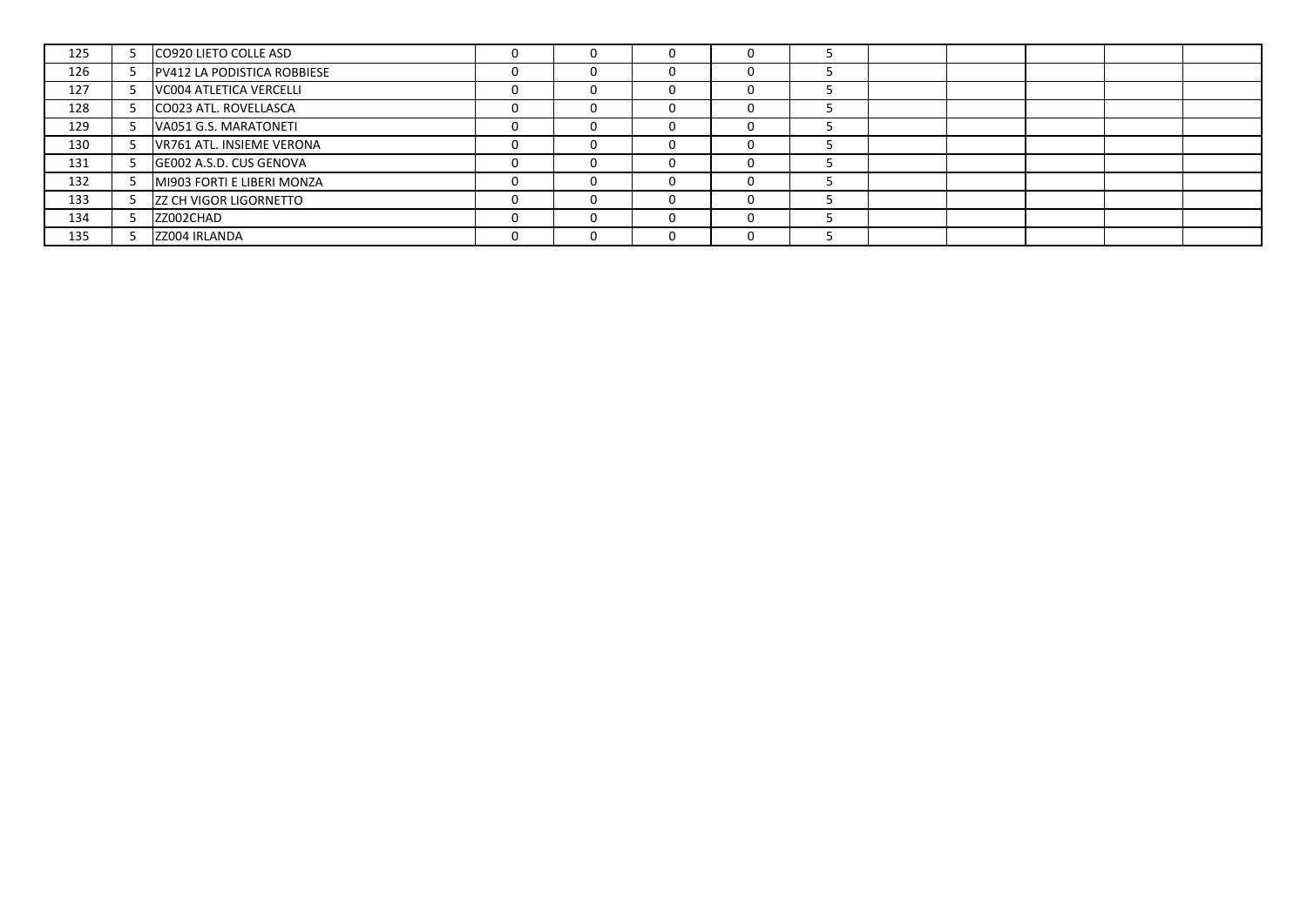| 125 | CO920 LIETO COLLE ASD         | $^{(1)}$ |   |   |  |  |  |
|-----|-------------------------------|----------|---|---|--|--|--|
| 126 | PV412 LA PODISTICA ROBBIESE   | 0        |   |   |  |  |  |
| 127 | VC004 ATLETICA VERCELLI       | 0        |   |   |  |  |  |
| 128 | CO023 ATL. ROVELLASCA         | $\Omega$ |   | э |  |  |  |
| 129 | VA051 G.S. MARATONETI         | $\Omega$ |   |   |  |  |  |
| 130 | VR761 ATL. INSIEME VERONA     | $\Omega$ |   |   |  |  |  |
| 131 | GE002 A.S.D. CUS GENOVA       | $\Omega$ |   |   |  |  |  |
| 132 | MI903 FORTI E LIBERI MONZA    | 0        |   |   |  |  |  |
| 133 | <b>ZZ CH VIGOR LIGORNETTO</b> | $\Omega$ |   |   |  |  |  |
| 134 | ZZ002CHAD                     | $\Omega$ | 0 |   |  |  |  |
| 135 | ZZ004 IRLANDA                 | 0        |   |   |  |  |  |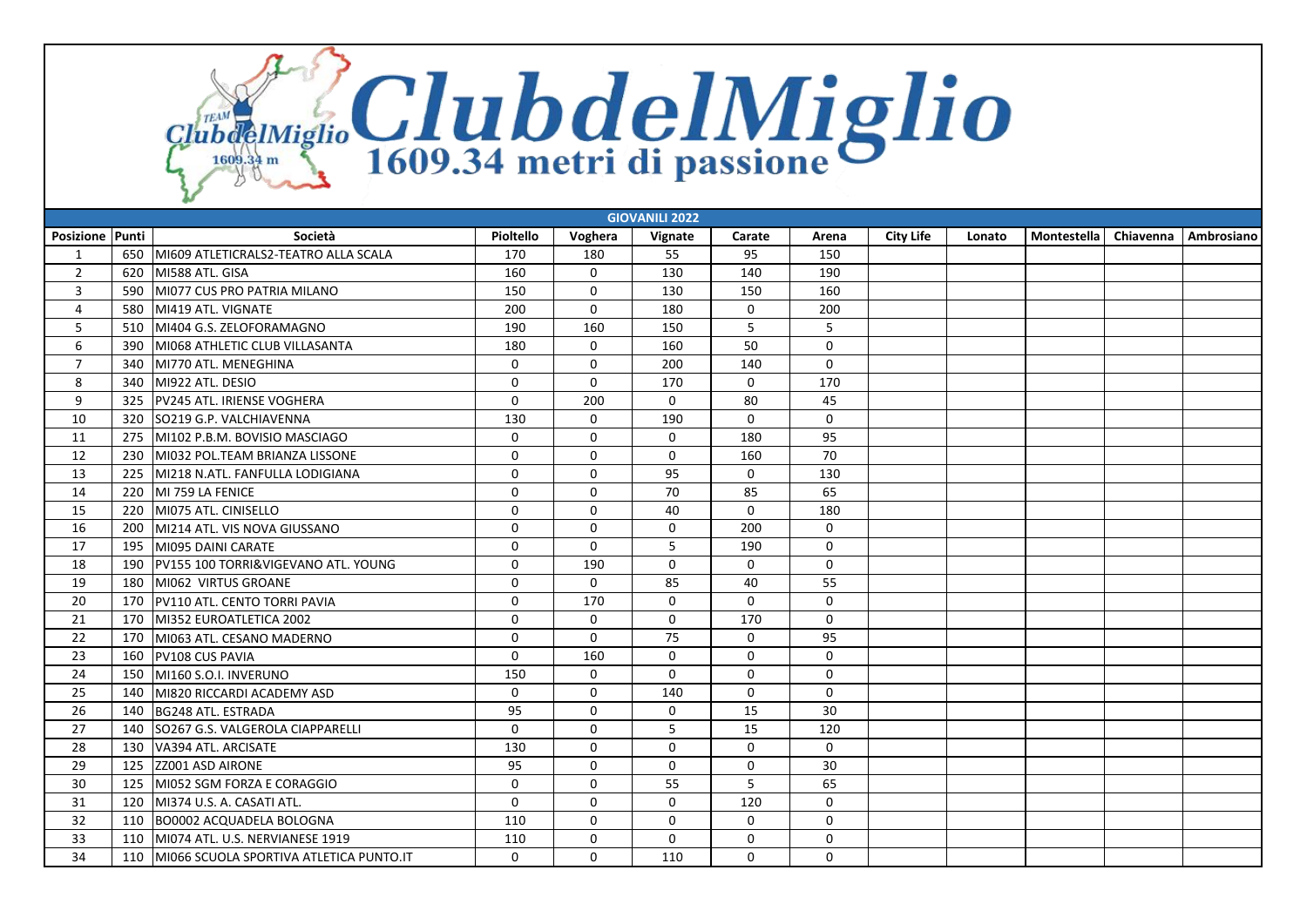ClubdeIMiglio ClubdelMiglio

|                 | <b>GIOVANILI 2022</b> |                                         |             |              |             |             |                     |                  |        |               |           |                   |  |
|-----------------|-----------------------|-----------------------------------------|-------------|--------------|-------------|-------------|---------------------|------------------|--------|---------------|-----------|-------------------|--|
| Posizione Punti |                       | Società                                 | Pioltello   | Voghera      | Vignate     | Carate      | Arena               | <b>City Life</b> | Lonato | Montestella l | Chiavenna | <b>Ambrosiano</b> |  |
| 1               | 650                   | MI609 ATLETICRALS2-TEATRO ALLA SCALA    | 170         | 180          | 55          | 95          | 150                 |                  |        |               |           |                   |  |
| $\overline{2}$  | 620                   | MI588 ATL, GISA                         | 160         | $\Omega$     | 130         | 140         | 190                 |                  |        |               |           |                   |  |
| 3               | 590                   | MI077 CUS PRO PATRIA MILANO             | 150         | $\mathbf 0$  | 130         | 150         | 160                 |                  |        |               |           |                   |  |
| $\overline{4}$  | 580                   | MI419 ATL, VIGNATE                      | 200         | $\mathbf{0}$ | 180         | $\Omega$    | 200                 |                  |        |               |           |                   |  |
| 5               | 510                   | MI404 G.S. ZELOFORAMAGNO                | 190         | 160          | 150         | 5           | 5                   |                  |        |               |           |                   |  |
| 6               | 390                   | MI068 ATHLETIC CLUB VILLASANTA          | 180         | $\mathbf 0$  | 160         | 50          | $\mathbf 0$         |                  |        |               |           |                   |  |
| $\overline{7}$  | 340                   | MI770 ATL. MENEGHINA                    | 0           | 0            | 200         | 140         | $\mathbf 0$         |                  |        |               |           |                   |  |
| 8               | 340                   | MI922 ATL. DESIO                        | $\Omega$    | $\mathbf 0$  | 170         | $\Omega$    | 170                 |                  |        |               |           |                   |  |
| 9               | 325                   | PV245 ATL. IRIENSE VOGHERA              | 0           | 200          | $\mathbf 0$ | 80          | 45                  |                  |        |               |           |                   |  |
| 10              | 320                   | SO219 G.P. VALCHIAVENNA                 | 130         | $\mathbf 0$  | 190         | $\Omega$    | $\Omega$            |                  |        |               |           |                   |  |
| 11              | 275                   | MI102 P.B.M. BOVISIO MASCIAGO           | 0           | $\mathbf 0$  | $\mathbf 0$ | 180         | 95                  |                  |        |               |           |                   |  |
| 12              | 230                   | MI032 POL.TEAM BRIANZA LISSONE          | 0           | $\mathbf 0$  | $\mathbf 0$ | 160         | 70                  |                  |        |               |           |                   |  |
| 13              | 225                   | MI218 N.ATL. FANFULLA LODIGIANA         | 0           | $\mathbf 0$  | 95          | $\mathbf 0$ | 130                 |                  |        |               |           |                   |  |
| 14              | 220                   | IMI 759 LA FENICE                       | $\Omega$    | $\mathbf 0$  | 70          | 85          | 65                  |                  |        |               |           |                   |  |
| 15              | 220                   | MI075 ATL. CINISELLO                    | $\Omega$    | $\mathbf 0$  | 40          | $\Omega$    | 180                 |                  |        |               |           |                   |  |
| 16              | 200                   | MI214 ATL. VIS NOVA GIUSSANO            | $\mathbf 0$ | $\mathbf 0$  | $\mathbf 0$ | 200         | 0                   |                  |        |               |           |                   |  |
| 17              | 195                   | MI095 DAINI CARATE                      | $\Omega$    | $\mathbf{0}$ | 5           | 190         | $\mathbf 0$         |                  |        |               |           |                   |  |
| 18              | 190                   | PV155 100 TORRI&VIGEVANO ATL. YOUNG     | 0           | 190          | $\mathbf 0$ | $\mathbf 0$ | 0                   |                  |        |               |           |                   |  |
| 19              | 180                   | MI062 VIRTUS GROANE                     | $\mathbf 0$ | $\Omega$     | 85          | 40          | 55                  |                  |        |               |           |                   |  |
| 20              | 170                   | PV110 ATL. CENTO TORRI PAVIA            | 0           | 170          | $\mathbf 0$ | $\mathbf 0$ | $\mathsf{O}\xspace$ |                  |        |               |           |                   |  |
| 21              | 170                   | MI352 EUROATLETICA 2002                 | $\mathbf 0$ | $\mathbf 0$  | $\mathbf 0$ | 170         | $\mathbf 0$         |                  |        |               |           |                   |  |
| 22              | 170                   | MI063 ATL. CESANO MADERNO               | 0           | $\mathbf 0$  | 75          | $\mathbf 0$ | 95                  |                  |        |               |           |                   |  |
| 23              | 160                   | PV108 CUS PAVIA                         | 0           | 160          | $\mathbf 0$ | $\mathbf 0$ | $\mathbf 0$         |                  |        |               |           |                   |  |
| 24              | 150                   | MI160 S.O.I. INVERUNO                   | 150         | $\mathbf 0$  | $\mathbf 0$ | $\mathbf 0$ | $\mathbf 0$         |                  |        |               |           |                   |  |
| 25              | 140                   | MI820 RICCARDI ACADEMY ASD              | 0           | $\mathbf 0$  | 140         | $\mathbf 0$ | $\mathbf 0$         |                  |        |               |           |                   |  |
| 26              | 140                   | BG248 ATL. ESTRADA                      | 95          | $\mathbf 0$  | $\mathbf 0$ | 15          | 30                  |                  |        |               |           |                   |  |
| 27              | 140                   | SO267 G.S. VALGEROLA CIAPPARELLI        | 0           | $\mathbf 0$  | 5           | 15          | 120                 |                  |        |               |           |                   |  |
| 28              | 130                   | VA394 ATL. ARCISATE                     | 130         | $\mathbf{0}$ | $\Omega$    | $\Omega$    | $\Omega$            |                  |        |               |           |                   |  |
| 29              | 125                   | <b>ZZ001 ASD AIRONE</b>                 | 95          | $\mathbf 0$  | $\Omega$    | $\mathbf 0$ | 30                  |                  |        |               |           |                   |  |
| 30              | 125                   | MI052 SGM FORZA E CORAGGIO              | $\Omega$    | $\mathbf{0}$ | 55          | 5           | 65                  |                  |        |               |           |                   |  |
| 31              | 120                   | MI374 U.S. A. CASATI ATL.               | 0           | $\mathbf 0$  | $\mathbf 0$ | 120         | 0                   |                  |        |               |           |                   |  |
| 32              | 110                   | <b>BO0002 ACQUADELA BOLOGNA</b>         | 110         | $\mathbf 0$  | $\mathbf 0$ | $\mathbf 0$ | $\mathsf{O}\xspace$ |                  |        |               |           |                   |  |
| 33              | 110                   | MI074 ATL. U.S. NERVIANESE 1919         | 110         | $\mathbf 0$  | $\mathbf 0$ | 0           | 0                   |                  |        |               |           |                   |  |
| 34              | 110                   | MI066 SCUOLA SPORTIVA ATLETICA PUNTO.IT | $\Omega$    | $\mathbf{0}$ | 110         | $\Omega$    | $\Omega$            |                  |        |               |           |                   |  |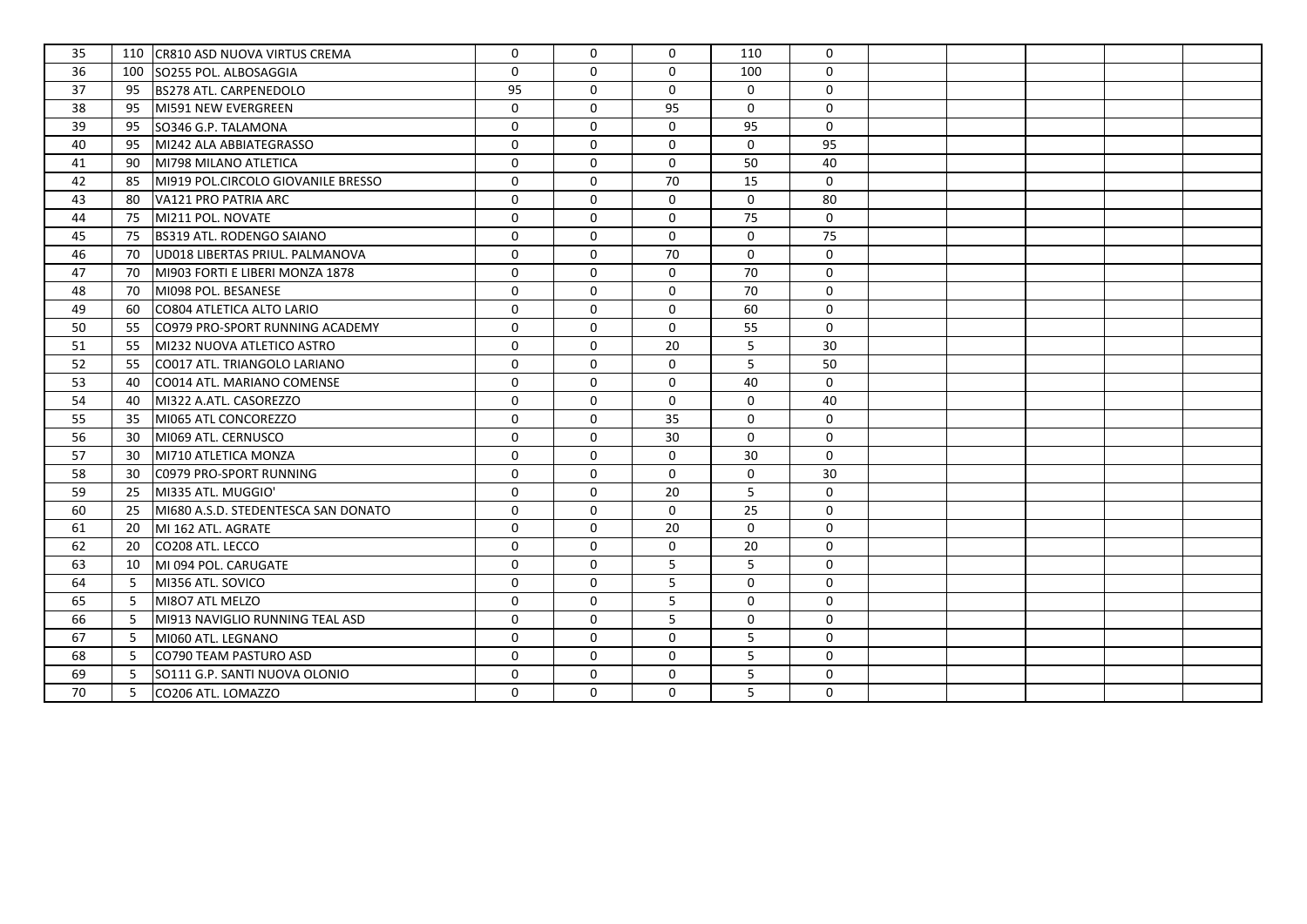| 35 | 110 | CR810 ASD NUOVA VIRTUS CREMA        | $\mathbf 0$ | $\Omega$     | $\Omega$     | 110         | $\mathbf 0$         |  |  |  |
|----|-----|-------------------------------------|-------------|--------------|--------------|-------------|---------------------|--|--|--|
| 36 | 100 | SO255 POL. ALBOSAGGIA               | $\Omega$    | $\mathbf{0}$ | $\mathbf{0}$ | 100         | $\mathbf 0$         |  |  |  |
| 37 | 95  | <b>BS278 ATL. CARPENEDOLO</b>       | 95          | $\mathbf 0$  | $\mathbf 0$  | $\mathbf 0$ | $\mathbf 0$         |  |  |  |
| 38 | 95  | MI591 NEW EVERGREEN                 | $\mathbf 0$ | $\Omega$     | 95           | $\mathbf 0$ | $\mathsf{O}$        |  |  |  |
| 39 | 95  | SO346 G.P. TALAMONA                 | $\mathbf 0$ | $\mathbf{0}$ | $\mathbf 0$  | 95          | $\mathsf{O}$        |  |  |  |
| 40 | 95  | MI242 ALA ABBIATEGRASSO             | $\mathbf 0$ | $\mathbf{0}$ | $\mathbf{0}$ | $\Omega$    | 95                  |  |  |  |
| 41 | 90  | MI798 MILANO ATLETICA               | $\mathbf 0$ | $\mathbf 0$  | $\mathbf 0$  | 50          | 40                  |  |  |  |
| 42 | 85  | MI919 POL.CIRCOLO GIOVANILE BRESSO  | $\mathbf 0$ | $\mathbf 0$  | 70           | 15          | $\mathbf 0$         |  |  |  |
| 43 | 80  | VA121 PRO PATRIA ARC                | $\Omega$    | $\mathbf{0}$ | $\mathbf{0}$ | $\mathbf 0$ | 80                  |  |  |  |
| 44 | 75  | MI211 POL. NOVATE                   | $\mathbf 0$ | $\mathbf 0$  | $\mathbf 0$  | 75          | $\mathbf 0$         |  |  |  |
| 45 | 75  | <b>BS319 ATL. RODENGO SAIANO</b>    | $\mathbf 0$ | $\mathbf 0$  | $\mathbf 0$  | $\mathbf 0$ | 75                  |  |  |  |
| 46 | 70  | UD018 LIBERTAS PRIUL. PALMANOVA     | $\mathbf 0$ | $\mathbf 0$  | 70           | $\mathbf 0$ | $\mathbf 0$         |  |  |  |
| 47 | 70  | MI903 FORTI E LIBERI MONZA 1878     | $\Omega$    | $\Omega$     | $\mathbf{0}$ | 70          | $\mathbf 0$         |  |  |  |
| 48 | 70  | MI098 POL. BESANESE                 | $\Omega$    | $\mathbf 0$  | $\Omega$     | 70          | $\mathbf 0$         |  |  |  |
| 49 | 60  | CO804 ATLETICA ALTO LARIO           | $\mathbf 0$ | $\mathbf 0$  | $\mathbf 0$  | 60          | 0                   |  |  |  |
| 50 | 55  | CO979 PRO-SPORT RUNNING ACADEMY     | $\mathbf 0$ | $\mathbf 0$  | $\mathbf 0$  | 55          | $\mathsf{O}$        |  |  |  |
| 51 | 55  | MI232 NUOVA ATLETICO ASTRO          | $\mathbf 0$ | $\mathbf 0$  | 20           | 5           | 30                  |  |  |  |
| 52 | 55  | CO017 ATL. TRIANGOLO LARIANO        | $\mathbf 0$ | $\mathbf{0}$ | $\mathbf 0$  | 5           | 50                  |  |  |  |
| 53 | 40  | CO014 ATL. MARIANO COMENSE          | $\mathbf 0$ | $\mathbf 0$  | 0            | 40          | 0                   |  |  |  |
| 54 | 40  | MI322 A.ATL. CASOREZZO              | $\mathbf 0$ | $\mathbf{0}$ | $\mathbf 0$  | $\mathbf 0$ | 40                  |  |  |  |
| 55 | 35  | MI065 ATL CONCOREZZO                | $\mathbf 0$ | $\mathbf 0$  | 35           | $\mathbf 0$ | $\mathbf 0$         |  |  |  |
| 56 | 30  | MI069 ATL. CERNUSCO                 | $\mathbf 0$ | $\mathbf{0}$ | 30           | $\Omega$    | $\mathbf 0$         |  |  |  |
| 57 | 30  | MI710 ATLETICA MONZA                | $\mathbf 0$ | $\mathbf 0$  | $\mathbf 0$  | 30          | $\mathbf 0$         |  |  |  |
| 58 | 30  | C0979 PRO-SPORT RUNNING             | $\mathbf 0$ | $\mathbf 0$  | $\mathbf 0$  | $\mathbf 0$ | 30                  |  |  |  |
| 59 | 25  | MI335 ATL. MUGGIO'                  | $\mathbf 0$ | $\mathbf{0}$ | 20           | 5           | $\mathbf 0$         |  |  |  |
| 60 | 25  | MI680 A.S.D. STEDENTESCA SAN DONATO | $\mathbf 0$ | $\mathbf 0$  | $\mathbf 0$  | 25          | $\mathbf 0$         |  |  |  |
| 61 | 20  | MI 162 ATL. AGRATE                  | $\mathbf 0$ | $\mathbf{0}$ | 20           | $\mathbf 0$ | $\mathbf 0$         |  |  |  |
| 62 | 20  | CO208 ATL. LECCO                    | $\mathbf 0$ | $\mathbf 0$  | $\mathbf 0$  | 20          | $\mathsf{O}$        |  |  |  |
| 63 | 10  | MI 094 POL. CARUGATE                | $\mathbf 0$ | $\mathbf{0}$ | 5            | 5           | 0                   |  |  |  |
| 64 | -5  | MI356 ATL. SOVICO                   | $\mathbf 0$ | $\mathbf 0$  | 5            | $\mathbf 0$ | 0                   |  |  |  |
| 65 | -5  | MI8O7 ATL MELZO                     | $\mathbf 0$ | $\mathbf 0$  | 5            | 0           | 0                   |  |  |  |
| 66 | -5  | MI913 NAVIGLIO RUNNING TEAL ASD     | $\mathbf 0$ | $\mathbf 0$  | 5            | $\mathbf 0$ | $\mathsf{O}\xspace$ |  |  |  |
| 67 | -5  | MI060 ATL. LEGNANO                  | $\mathbf 0$ | $\Omega$     | $\mathbf 0$  | 5           | $\mathbf 0$         |  |  |  |
| 68 | -5  | CO790 TEAM PASTURO ASD              | $\mathbf 0$ | $\mathbf 0$  | 0            | 5           | 0                   |  |  |  |
| 69 | -5  | SO111 G.P. SANTI NUOVA OLONIO       | $\mathbf 0$ | $\mathbf 0$  | 0            | 5           | 0                   |  |  |  |
| 70 | -5  | CO206 ATL. LOMAZZO                  | $\mathbf 0$ | $\mathbf 0$  | $\Omega$     | 5           | $\mathbf 0$         |  |  |  |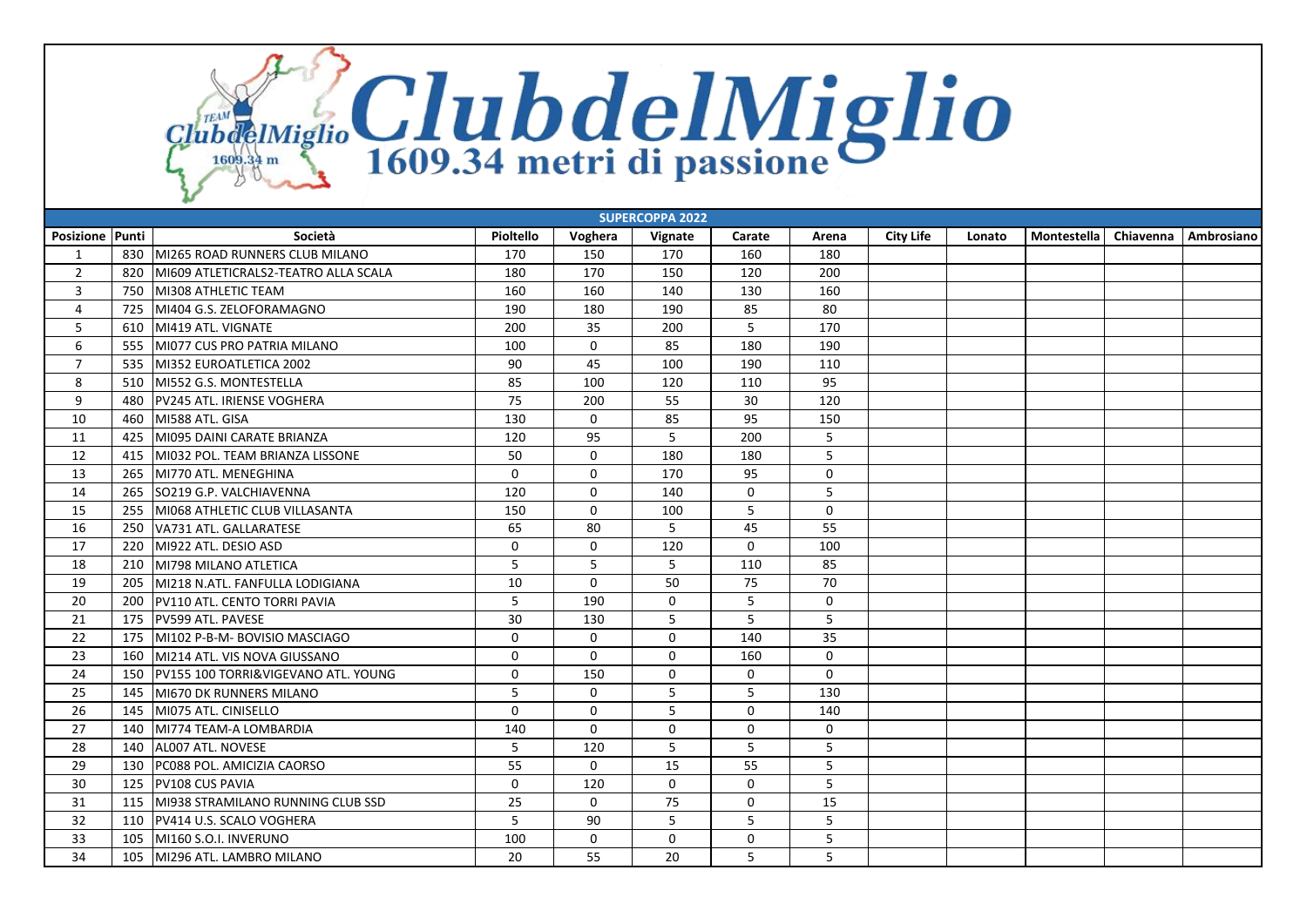ClubdeIMiglio ClubdelMiglio

| <b>SUPERCOPPA 2022</b> |     |                                      |             |             |             |             |                     |                  |        |             |           |            |
|------------------------|-----|--------------------------------------|-------------|-------------|-------------|-------------|---------------------|------------------|--------|-------------|-----------|------------|
| <b>Posizione Punti</b> |     | Società                              | Pioltello   | Voghera     | Vignate     | Carate      | Arena               | <b>City Life</b> | Lonato | Montestella | Chiavenna | Ambrosiano |
| 1                      | 830 | MI265 ROAD RUNNERS CLUB MILANO       | 170         | 150         | 170         | 160         | 180                 |                  |        |             |           |            |
| $\overline{2}$         | 820 | MI609 ATLETICRALS2-TEATRO ALLA SCALA | 180         | 170         | 150         | 120         | 200                 |                  |        |             |           |            |
| 3                      | 750 | MI308 ATHLETIC TEAM                  | 160         | 160         | 140         | 130         | 160                 |                  |        |             |           |            |
| $\overline{4}$         | 725 | MI404 G.S. ZELOFORAMAGNO             | 190         | 180         | 190         | 85          | 80                  |                  |        |             |           |            |
| 5                      | 610 | MI419 ATL. VIGNATE                   | 200         | 35          | 200         | 5           | 170                 |                  |        |             |           |            |
| 6                      | 555 | MI077 CUS PRO PATRIA MILANO          | 100         | $\mathbf 0$ | 85          | 180         | 190                 |                  |        |             |           |            |
| $\overline{7}$         | 535 | MI352 EUROATLETICA 2002              | 90          | 45          | 100         | 190         | 110                 |                  |        |             |           |            |
| 8                      | 510 | MI552 G.S. MONTESTELLA               | 85          | 100         | 120         | 110         | 95                  |                  |        |             |           |            |
| 9                      | 480 | PV245 ATL. IRIENSE VOGHERA           | 75          | 200         | 55          | 30          | 120                 |                  |        |             |           |            |
| 10                     | 460 | MI588 ATL. GISA                      | 130         | $\mathbf 0$ | 85          | 95          | 150                 |                  |        |             |           |            |
| 11                     | 425 | MI095 DAINI CARATE BRIANZA           | 120         | 95          | 5           | 200         | 5                   |                  |        |             |           |            |
| 12                     | 415 | MI032 POL. TEAM BRIANZA LISSONE      | 50          | $\mathbf 0$ | 180         | 180         | 5                   |                  |        |             |           |            |
| 13                     | 265 | MI770 ATL. MENEGHINA                 | $\Omega$    | $\Omega$    | 170         | 95          | $\mathbf 0$         |                  |        |             |           |            |
| 14                     | 265 | SO219 G.P. VALCHIAVENNA              | 120         | $\mathbf 0$ | 140         | 0           | 5                   |                  |        |             |           |            |
| 15                     | 255 | MI068 ATHLETIC CLUB VILLASANTA       | 150         | $\mathbf 0$ | 100         | 5           | 0                   |                  |        |             |           |            |
| 16                     | 250 | VA731 ATL. GALLARATESE               | 65          | 80          | 5           | 45          | 55                  |                  |        |             |           |            |
| 17                     | 220 | MI922 ATL. DESIO ASD                 | $\mathbf 0$ | $\mathbf 0$ | 120         | $\mathbf 0$ | 100                 |                  |        |             |           |            |
| 18                     | 210 | MI798 MILANO ATLETICA                | 5           | 5           | 5           | 110         | 85                  |                  |        |             |           |            |
| 19                     | 205 | MI218 N.ATL. FANFULLA LODIGIANA      | 10          | $\Omega$    | 50          | 75          | 70                  |                  |        |             |           |            |
| 20                     | 200 | PV110 ATL. CENTO TORRI PAVIA         | 5           | 190         | $\mathbf 0$ | 5           | 0                   |                  |        |             |           |            |
| 21                     | 175 | <b>PV599 ATL. PAVESE</b>             | 30          | 130         | 5           | 5           | 5                   |                  |        |             |           |            |
| 22                     | 175 | MI102 P-B-M- BOVISIO MASCIAGO        | $\Omega$    | $\mathbf 0$ | 0           | 140         | 35                  |                  |        |             |           |            |
| 23                     | 160 | MI214 ATL. VIS NOVA GIUSSANO         | $\mathbf 0$ | $\mathbf 0$ | 0           | 160         | $\mathsf{O}\xspace$ |                  |        |             |           |            |
| 24                     | 150 | PV155 100 TORRI&VIGEVANO ATL. YOUNG  | $\mathbf 0$ | 150         | $\mathbf 0$ | $\mathbf 0$ | $\mathbf 0$         |                  |        |             |           |            |
| 25                     | 145 | MI670 DK RUNNERS MILANO              | 5           | $\Omega$    | 5           | 5           | 130                 |                  |        |             |           |            |
| 26                     | 145 | MI075 ATL. CINISELLO                 | $\mathbf 0$ | $\mathbf 0$ | 5           | $\mathbf 0$ | 140                 |                  |        |             |           |            |
| 27                     | 140 | MI774 TEAM-A LOMBARDIA               | 140         | $\Omega$    | $\mathbf 0$ | $\Omega$    | $\mathbf 0$         |                  |        |             |           |            |
| 28                     | 140 | ALO07 ATL. NOVESE                    | 5           | 120         | 5           | 5           | 5                   |                  |        |             |           |            |
| 29                     | 130 | PC088 POL. AMICIZIA CAORSO           | 55          | $\Omega$    | 15          | 55          | 5                   |                  |        |             |           |            |
| 30                     | 125 | PV108 CUS PAVIA                      | $\mathbf 0$ | 120         | $\mathbf 0$ | $\mathbf 0$ | 5                   |                  |        |             |           |            |
| 31                     | 115 | MI938 STRAMILANO RUNNING CLUB SSD    | 25          | $\mathbf 0$ | 75          | $\mathbf 0$ | 15                  |                  |        |             |           |            |
| 32                     | 110 | PV414 U.S. SCALO VOGHERA             | 5           | 90          | 5           | 5           | 5 <sup>5</sup>      |                  |        |             |           |            |
| 33                     | 105 | l MI160 S.O.I. INVERUNO              | 100         | 0           | $\mathbf 0$ | 0           | 5                   |                  |        |             |           |            |
| 34                     | 105 | MI296 ATL. LAMBRO MILANO             | 20          | 55          | 20          | 5           | 5                   |                  |        |             |           |            |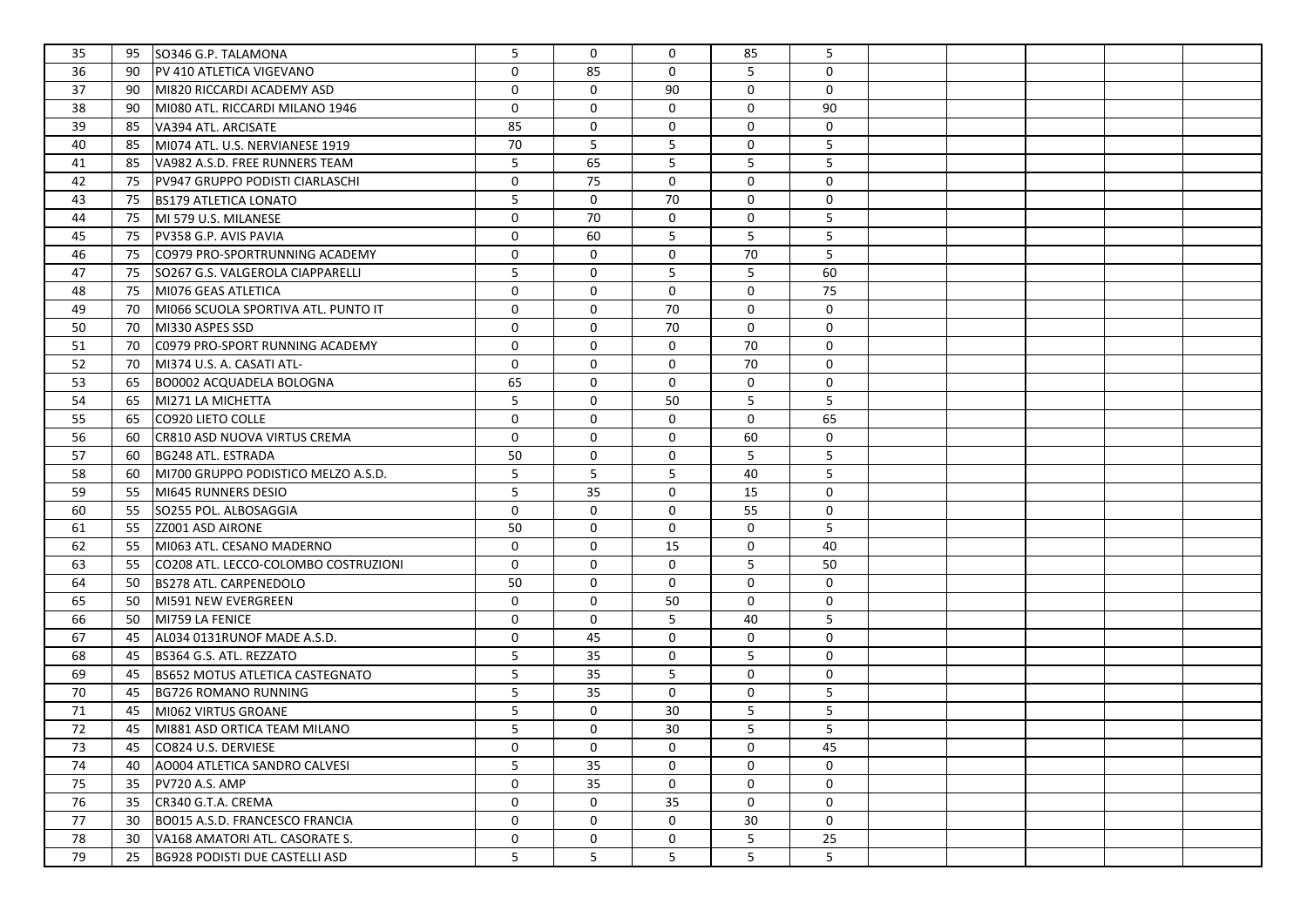| 35 | 95<br>SO346 G.P. TALAMONA                    | 5           | $\mathbf 0$ | $\mathbf 0$ | 85          | 5                   |  |  |  |
|----|----------------------------------------------|-------------|-------------|-------------|-------------|---------------------|--|--|--|
| 36 | PV 410 ATLETICA VIGEVANO<br>90               | $\mathbf 0$ | 85          | $\mathbf 0$ | 5           | $\mathbf 0$         |  |  |  |
| 37 | 90<br>MI820 RICCARDI ACADEMY ASD             | $\mathbf 0$ | $\mathbf 0$ | 90          | $\mathbf 0$ | 0                   |  |  |  |
| 38 | MI080 ATL. RICCARDI MILANO 1946<br>90        | $\mathbf 0$ | $\mathbf 0$ | $\mathbf 0$ | $\mathbf 0$ | 90                  |  |  |  |
| 39 | VA394 ATL. ARCISATE<br>85                    | 85          | $\mathbf 0$ | 0           | $\mathbf 0$ | 0                   |  |  |  |
| 40 | 85<br>MI074 ATL. U.S. NERVIANESE 1919        | 70          | 5           | 5           | $\mathbf 0$ | 5                   |  |  |  |
| 41 | VA982 A.S.D. FREE RUNNERS TEAM<br>85         | 5           | 65          | 5           | 5           | 5                   |  |  |  |
| 42 | PV947 GRUPPO PODISTI CIARLASCHI<br>75        | $\mathbf 0$ | 75          | $\mathbf 0$ | $\mathbf 0$ | 0                   |  |  |  |
| 43 | 75<br><b>BS179 ATLETICA LONATO</b>           | 5           | $\mathbf 0$ | 70          | $\mathbf 0$ | 0                   |  |  |  |
| 44 | MI 579 U.S. MILANESE<br>75                   | $\mathbf 0$ | 70          | $\mathbf 0$ | $\mathbf 0$ | 5                   |  |  |  |
| 45 | PV358 G.P. AVIS PAVIA<br>75                  | 0           | 60          | 5           | 5           | 5                   |  |  |  |
| 46 | CO979 PRO-SPORTRUNNING ACADEMY<br>75         | 0           | $\mathbf 0$ | 0           | 70          | 5                   |  |  |  |
| 47 | 75<br>SO267 G.S. VALGEROLA CIAPPARELLI       | 5           | $\mathbf 0$ | 5           | 5           | 60                  |  |  |  |
| 48 | MI076 GEAS ATLETICA<br>75                    | $\mathbf 0$ | $\mathbf 0$ | $\mathbf 0$ | $\mathbf 0$ | 75                  |  |  |  |
| 49 | MI066 SCUOLA SPORTIVA ATL. PUNTO IT<br>70    | $\mathbf 0$ | $\mathbf 0$ | 70          | $\mathbf 0$ | 0                   |  |  |  |
| 50 | 70<br>MI330 ASPES SSD                        | 0           | $\mathbf 0$ | 70          | $\mathbf 0$ | 0                   |  |  |  |
| 51 | C0979 PRO-SPORT RUNNING ACADEMY<br>70        | 0           | $\mathbf 0$ | 0           | 70          | 0                   |  |  |  |
| 52 | MI374 U.S. A. CASATI ATL-<br>70              | 0           | $\mathbf 0$ | 0           | 70          | 0                   |  |  |  |
| 53 | BO0002 ACQUADELA BOLOGNA<br>65               | 65          | $\mathbf 0$ | $\mathbf 0$ | $\mathbf 0$ | 0                   |  |  |  |
| 54 | 65<br>MI271 LA MICHETTA                      | 5           | $\mathbf 0$ | 50          | 5           | 5                   |  |  |  |
| 55 | CO920 LIETO COLLE<br>65                      | 0           | $\mathbf 0$ | $\mathbf 0$ | $\mathbf 0$ | 65                  |  |  |  |
| 56 | CR810 ASD NUOVA VIRTUS CREMA<br>60           | 0           | $\mathbf 0$ | $\mathbf 0$ | 60          | 0                   |  |  |  |
| 57 | <b>BG248 ATL. ESTRADA</b><br>60              | 50          | $\mathbf 0$ | 0           | 5           | 5                   |  |  |  |
| 58 | MI700 GRUPPO PODISTICO MELZO A.S.D.<br>60    | 5           | 5           | 5           | 40          | 5                   |  |  |  |
| 59 | 55<br>MI645 RUNNERS DESIO                    | 5           | 35          | $\mathbf 0$ | 15          | 0                   |  |  |  |
| 60 | SO255 POL. ALBOSAGGIA<br>55                  | $\mathbf 0$ | $\mathbf 0$ | $\mathbf 0$ | 55          | 0                   |  |  |  |
| 61 | 55<br>ZZ001 ASD AIRONE                       | 50          | $\mathbf 0$ | $\mathbf 0$ | 0           | 5                   |  |  |  |
| 62 | 55<br>MI063 ATL. CESANO MADERNO              | 0           | $\mathbf 0$ | 15          | $\mathbf 0$ | 40                  |  |  |  |
| 63 | 55<br>CO208 ATL. LECCO-COLOMBO COSTRUZIONI   | $\mathbf 0$ | $\mathbf 0$ | $\mathbf 0$ | 5           | 50                  |  |  |  |
| 64 | 50<br><b>BS278 ATL. CARPENEDOLO</b>          | 50          | $\mathbf 0$ | $\mathbf 0$ | $\mathbf 0$ | 0                   |  |  |  |
| 65 | MI591 NEW EVERGREEN<br>50                    | 0           | $\mathbf 0$ | 50          | $\mathbf 0$ | 0                   |  |  |  |
| 66 | MI759 LA FENICE<br>50                        | $\mathbf 0$ | $\mathbf 0$ | 5           | 40          | 5                   |  |  |  |
| 67 | AL034 0131RUNOF MADE A.S.D.<br>45            | $\mathbf 0$ | 45          | $\mathbf 0$ | $\mathbf 0$ | 0                   |  |  |  |
| 68 | BS364 G.S. ATL. REZZATO<br>45                | 5           | 35          | $\mathbf 0$ | 5           | $\mathsf{O}\xspace$ |  |  |  |
| 69 | 45<br><b>BS652 MOTUS ATLETICA CASTEGNATO</b> | 5           | 35          | 5           | $\mathbf 0$ | 0                   |  |  |  |
| 70 | <b>BG726 ROMANO RUNNING</b><br>45            | 5           | 35          | $\mathbf 0$ | $\mathbf 0$ | 5                   |  |  |  |
| 71 | MI062 VIRTUS GROANE<br>45                    | 5           | $\mathbf 0$ | 30          | 5           | 5                   |  |  |  |
| 72 | 45<br>MI881 ASD ORTICA TEAM MILANO           | 5           | 0           | 30          | 5           | 5                   |  |  |  |
| 73 | 45<br>CO824 U.S. DERVIESE                    | 0           | 0           | 0           | 0           | 45                  |  |  |  |
| 74 | 40<br>AO004 ATLETICA SANDRO CALVESI          | 5           | 35          | $\mathbf 0$ | $\mathbf 0$ | $\mathbf 0$         |  |  |  |
| 75 | 35<br>PV720 A.S. AMP                         | 0           | 35          | $\mathbf 0$ | 0           | 0                   |  |  |  |
| 76 | 35<br>CR340 G.T.A. CREMA                     | 0           | 0           | 35          | 0           | 0                   |  |  |  |
| 77 | 30<br>BO015 A.S.D. FRANCESCO FRANCIA         | 0           | 0           | 0           | 30          | 0                   |  |  |  |
| 78 | VA168 AMATORI ATL. CASORATE S.<br>30         | 0           | 0           | 0           | 5           | 25                  |  |  |  |
| 79 | 25<br>BG928 PODISTI DUE CASTELLI ASD         | 5           | 5           | 5           | 5           | 5                   |  |  |  |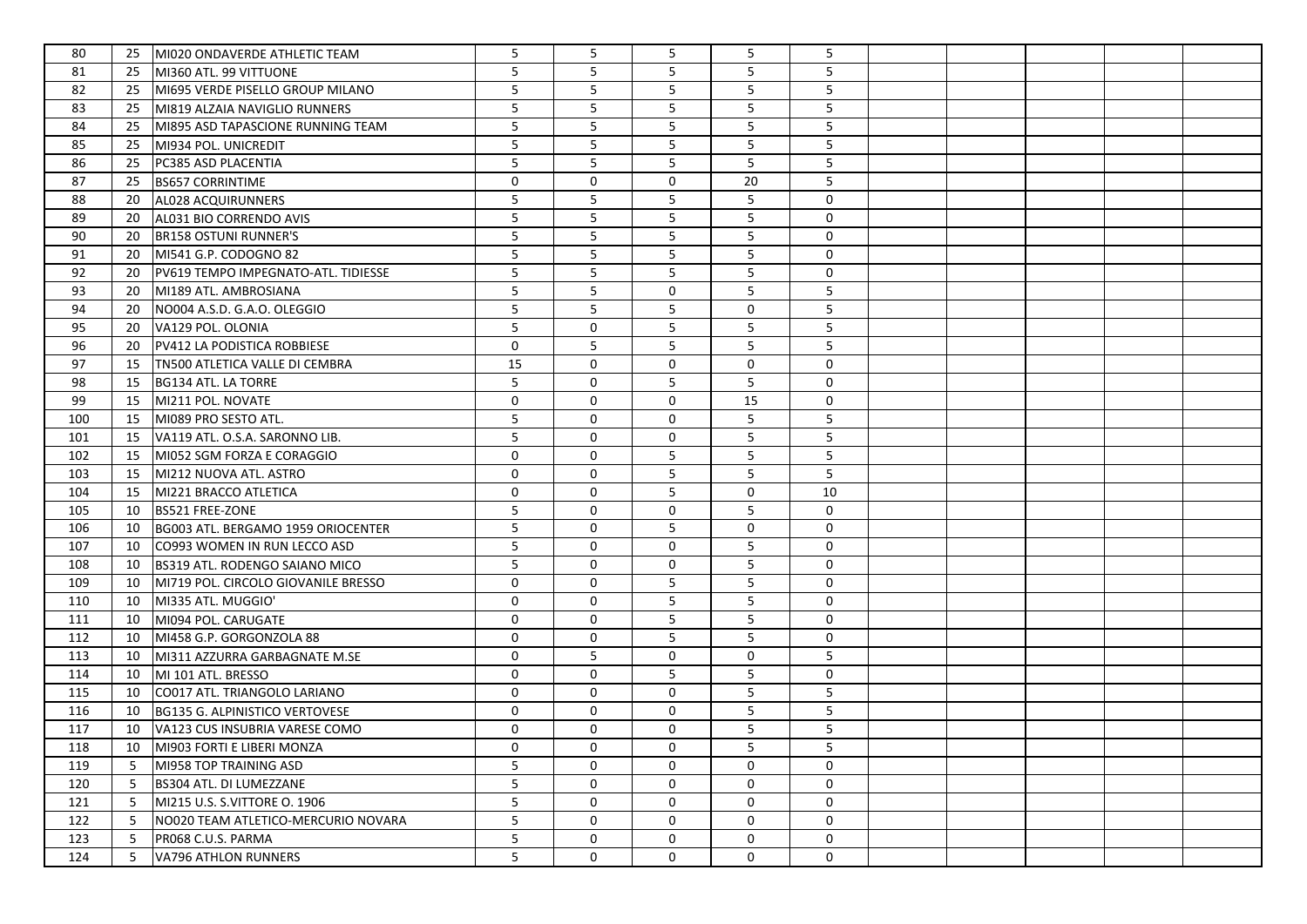| 80  | 25 | MI020 ONDAVERDE ATHLETIC TEAM       | 5           | 5           | 5           | 5           | 5              |  |  |  |
|-----|----|-------------------------------------|-------------|-------------|-------------|-------------|----------------|--|--|--|
| 81  | 25 | MI360 ATL. 99 VITTUONE              | 5           | 5           | 5           | 5           | 5              |  |  |  |
| 82  | 25 | MI695 VERDE PISELLO GROUP MILANO    | 5           | 5           | 5           | 5           | 5              |  |  |  |
| 83  | 25 | MI819 ALZAIA NAVIGLIO RUNNERS       | 5           | 5           | 5           | 5           | $5\phantom{.}$ |  |  |  |
| 84  | 25 | MI895 ASD TAPASCIONE RUNNING TEAM   | 5           | 5           | 5           | 5           | 5              |  |  |  |
| 85  | 25 | MI934 POL. UNICREDIT                | 5           | 5           | 5           | 5           | 5              |  |  |  |
| 86  | 25 | PC385 ASD PLACENTIA                 | 5           | 5           | 5           | 5           | 5              |  |  |  |
| 87  | 25 | <b>BS657 CORRINTIME</b>             | 0           | 0           | $\mathbf 0$ | 20          | 5              |  |  |  |
| 88  | 20 | AL028 ACQUIRUNNERS                  | 5           | 5           | 5           | 5           | 0              |  |  |  |
| 89  | 20 | AL031 BIO CORRENDO AVIS             | 5           | 5           | 5           | 5           | 0              |  |  |  |
| 90  | 20 | <b>BR158 OSTUNI RUNNER'S</b>        | 5           | 5           | 5           | 5           | 0              |  |  |  |
| 91  | 20 | MI541 G.P. CODOGNO 82               | 5           | 5           | 5           | 5           | 0              |  |  |  |
| 92  | 20 | PV619 TEMPO IMPEGNATO-ATL. TIDIESSE | 5           | 5           | 5           | 5           | 0              |  |  |  |
| 93  | 20 | MI189 ATL. AMBROSIANA               | 5           | 5           | 0           | 5           | 5              |  |  |  |
| 94  | 20 | NO004 A.S.D. G.A.O. OLEGGIO         | 5           | 5           | 5           | $\mathbf 0$ | 5              |  |  |  |
| 95  | 20 | VA129 POL. OLONIA                   | 5           | 0           | 5           | 5           | 5              |  |  |  |
| 96  | 20 | PV412 LA PODISTICA ROBBIESE         | 0           | 5           | 5           | 5           | 5              |  |  |  |
| 97  | 15 | TN500 ATLETICA VALLE DI CEMBRA      | 15          | 0           | 0           | $\mathbf 0$ | $\mathsf{O}$   |  |  |  |
| 98  | 15 | BG134 ATL. LA TORRE                 | 5           | $\mathbf 0$ | 5           | 5           | $\mathsf{O}$   |  |  |  |
| 99  | 15 | MI211 POL. NOVATE                   | 0           | $\mathbf 0$ | 0           | 15          | 0              |  |  |  |
| 100 | 15 | MI089 PRO SESTO ATL.                | 5           | $\mathbf 0$ | 0           | 5           | 5              |  |  |  |
| 101 | 15 | VA119 ATL. O.S.A. SARONNO LIB.      | 5           | 0           | 0           | 5           | 5              |  |  |  |
| 102 | 15 | MI052 SGM FORZA E CORAGGIO          | 0           | 0           | 5           | 5           | $\overline{5}$ |  |  |  |
| 103 | 15 | MI212 NUOVA ATL. ASTRO              | 0           | 0           | 5           | 5           | 5              |  |  |  |
| 104 | 15 | MI221 BRACCO ATLETICA               | 0           | $\mathbf 0$ | 5           | 0           | 10             |  |  |  |
| 105 | 10 | <b>BS521 FREE-ZONE</b>              | 5           | $\mathbf 0$ | 0           | 5           | 0              |  |  |  |
| 106 | 10 | BG003 ATL. BERGAMO 1959 ORIOCENTER  | 5           | $\mathbf 0$ | 5           | 0           | $\mathsf{O}$   |  |  |  |
| 107 | 10 | CO993 WOMEN IN RUN LECCO ASD        | 5           | 0           | 0           | 5           | 0              |  |  |  |
| 108 | 10 | BS319 ATL. RODENGO SAIANO MICO      | 5           | $\mathbf 0$ | 0           | 5           | 0              |  |  |  |
| 109 | 10 | MI719 POL. CIRCOLO GIOVANILE BRESSO | $\mathbf 0$ | 0           | 5           | 5           | 0              |  |  |  |
| 110 | 10 | MI335 ATL. MUGGIO'                  | $\mathbf 0$ | 0           | 5           | 5           | 0              |  |  |  |
| 111 | 10 | MI094 POL. CARUGATE                 | $\mathbf 0$ | 0           | 5           | 5           | $\mathsf{O}$   |  |  |  |
| 112 | 10 | MI458 G.P. GORGONZOLA 88            | 0           | 0           | 5           | 5           | 0              |  |  |  |
| 113 | 10 | MI311 AZZURRA GARBAGNATE M.SE       | 0           | 5           | 0           | 0           | 5              |  |  |  |
| 114 | 10 | MI 101 ATL. BRESSO                  | 0           | 0           | 5           | 5           | 0              |  |  |  |
| 115 | 10 | CO017 ATL. TRIANGOLO LARIANO        | 0           | 0           | 0           | 5           | 5              |  |  |  |
| 116 | 10 | BG135 G. ALPINISTICO VERTOVESE      | $\mathbf 0$ | 0           | 0           | 5           | 5              |  |  |  |
| 117 | 10 | VA123 CUS INSUBRIA VARESE COMO      | 0           | 0           | $\mathbf 0$ | 5           | 5              |  |  |  |
| 118 | 10 | MI903 FORTI E LIBERI MONZA          | 0           | 0           | 0           | 5           | 5              |  |  |  |
| 119 | 5  | MI958 TOP TRAINING ASD              | 5           | 0           | $\mathbf 0$ | 0           | $\mathbf 0$    |  |  |  |
| 120 | 5  | BS304 ATL. DI LUMEZZANE             | 5           | 0           | 0           | 0           | 0              |  |  |  |
| 121 | 5  | MI215 U.S. S.VITTORE O. 1906        | 5           | 0           | 0           | 0           | 0              |  |  |  |
| 122 | 5  | NO020 TEAM ATLETICO-MERCURIO NOVARA | 5           | 0           | 0           | 0           | 0              |  |  |  |
| 123 | 5  | PR068 C.U.S. PARMA                  | 5           | 0           | 0           | 0           | 0              |  |  |  |
| 124 | 5  | VA796 ATHLON RUNNERS                | 5           | 0           | 0           | 0           | 0              |  |  |  |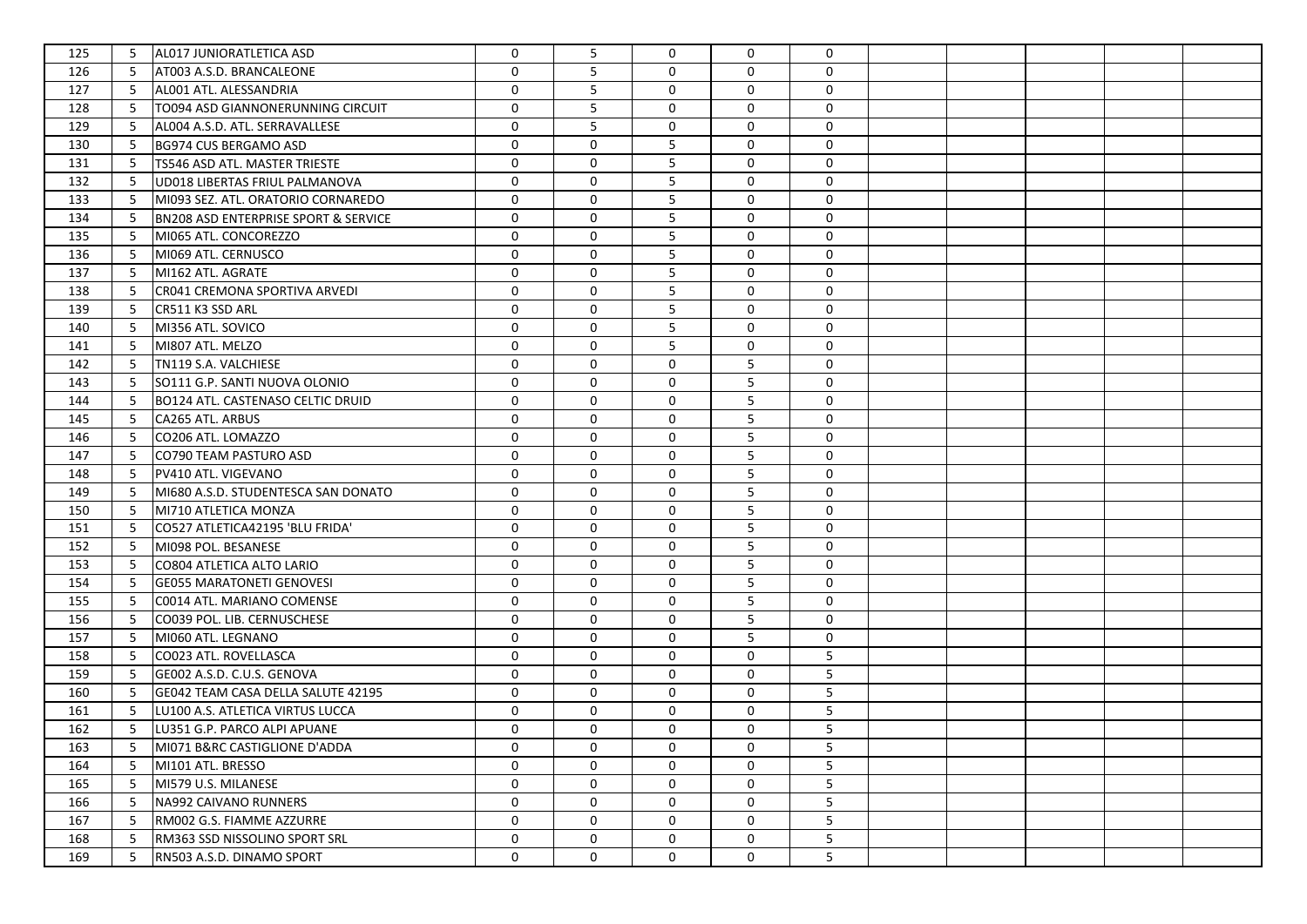| 125 | 5 | AL017 JUNIORATLETICA ASD                        | $\mathbf 0$  | 5           | 0           | $\Omega$    | 0               |  |  |  |
|-----|---|-------------------------------------------------|--------------|-------------|-------------|-------------|-----------------|--|--|--|
| 126 | 5 | AT003 A.S.D. BRANCALEONE                        | $\mathbf 0$  | 5           | 0           | $\mathbf 0$ | 0               |  |  |  |
| 127 | 5 | AL001 ATL. ALESSANDRIA                          | 0            | 5           | 0           | 0           | 0               |  |  |  |
| 128 | 5 | TO094 ASD GIANNONERUNNING CIRCUIT               | 0            | 5           | 0           | 0           | $\mathsf{O}$    |  |  |  |
| 129 | 5 | AL004 A.S.D. ATL. SERRAVALLESE                  | $\mathbf 0$  | 5           | 0           | 0           | $\mathsf{O}$    |  |  |  |
| 130 | 5 | BG974 CUS BERGAMO ASD                           | $\mathbf 0$  | $\mathbf 0$ | 5           | $\mathbf 0$ | $\mathsf{O}$    |  |  |  |
| 131 | 5 | <b>TS546 ASD ATL. MASTER TRIESTE</b>            | $\mathbf 0$  | $\mathbf 0$ | 5           | $\mathbf 0$ | $\mathsf{O}$    |  |  |  |
| 132 | 5 | <b>UD018 LIBERTAS FRIUL PALMANOVA</b>           | $\mathbf 0$  | 0           | 5           | $\mathbf 0$ | 0               |  |  |  |
| 133 | 5 | MI093 SEZ. ATL. ORATORIO CORNAREDO              | 0            | 0           | 5           | $\mathbf 0$ | 0               |  |  |  |
| 134 | 5 | <b>BN208 ASD ENTERPRISE SPORT &amp; SERVICE</b> | 0            | 0           | 5           | $\mathbf 0$ | 0               |  |  |  |
| 135 | 5 | MI065 ATL. CONCOREZZO                           | $\mathbf 0$  | 0           | 5           | $\mathbf 0$ | 0               |  |  |  |
| 136 | 5 | MI069 ATL. CERNUSCO                             | $\mathbf 0$  | 0           | 5           | 0           | 0               |  |  |  |
| 137 | 5 | MI162 ATL. AGRATE                               | 0            | 0           | 5           | 0           | 0               |  |  |  |
| 138 | 5 | CR041 CREMONA SPORTIVA ARVEDI                   | 0            | 0           | 5           | 0           | $\mathsf{O}$    |  |  |  |
| 139 | 5 | CR511 K3 SSD ARL                                | 0            | 0           | 5           | 0           | 0               |  |  |  |
| 140 | 5 | MI356 ATL. SOVICO                               | 0            | 0           | 5           | 0           | 0               |  |  |  |
| 141 | 5 | MI807 ATL. MELZO                                | 0            | 0           | 5           | 0           | $\mathsf{O}$    |  |  |  |
| 142 | 5 | TN119 S.A. VALCHIESE                            | 0            | 0           | 0           | 5           | $\mathsf{O}$    |  |  |  |
| 143 | 5 | SO111 G.P. SANTI NUOVA OLONIO                   | 0            | $\mathbf 0$ | 0           | 5           | 0               |  |  |  |
| 144 | 5 | BO124 ATL. CASTENASO CELTIC DRUID               | 0            | $\mathbf 0$ | 0           | 5           | 0               |  |  |  |
| 145 | 5 | CA265 ATL. ARBUS                                | 0            | $\mathbf 0$ | 0           | 5           | 0               |  |  |  |
| 146 | 5 | CO206 ATL. LOMAZZO                              | 0            | 0           | 0           | 5           | 0               |  |  |  |
| 147 | 5 | CO790 TEAM PASTURO ASD                          | 0            | 0           | 0           | 5           | 0               |  |  |  |
| 148 | 5 | PV410 ATL. VIGEVANO                             | 0            | 0           | 0           | 5           | 0               |  |  |  |
| 149 | 5 | MI680 A.S.D. STUDENTESCA SAN DONATO             | 0            | 0           | 0           | 5           | 0               |  |  |  |
| 150 | 5 | MI710 ATLETICA MONZA                            | 0            | $\mathbf 0$ | 0           | 5           | 0               |  |  |  |
| 151 | 5 | CO527 ATLETICA42195 'BLU FRIDA'                 | 0            | $\mathbf 0$ | 0           | 5           | $\mathsf{O}$    |  |  |  |
| 152 | 5 | MI098 POL. BESANESE                             | 0            | 0           | 0           | 5           | 0               |  |  |  |
| 153 | 5 | CO804 ATLETICA ALTO LARIO                       | 0            | $\mathbf 0$ | 0           | 5           | 0               |  |  |  |
| 154 | 5 | <b>GE055 MARATONETI GENOVESI</b>                | $\mathbf 0$  | 0           | 0           | 5           | 0               |  |  |  |
| 155 | 5 | C0014 ATL. MARIANO COMENSE                      | $\mathbf 0$  | 0           | $\mathbf 0$ | 5           | 0               |  |  |  |
| 156 | 5 | CO039 POL. LIB. CERNUSCHESE                     | $\mathbf 0$  | $\mathbf 0$ | $\mathbf 0$ | 5           | $\mathsf{O}$    |  |  |  |
| 157 | 5 | MI060 ATL. LEGNANO                              | 0            | 0           | $\mathbf 0$ | 5           | 0               |  |  |  |
| 158 | 5 | CO023 ATL. ROVELLASCA                           | 0            | $\mathbf 0$ | 0           | 0           | 5               |  |  |  |
| 159 | 5 | GE002 A.S.D. C.U.S. GENOVA                      | 0            | 0           | 0           | $\mathbf 0$ | 5               |  |  |  |
| 160 | 5 | GE042 TEAM CASA DELLA SALUTE 42195              | 0            | 0           | 0           | $\mathbf 0$ | 5               |  |  |  |
| 161 | 5 | LU100 A.S. ATLETICA VIRTUS LUCCA                | $\mathbf 0$  | 0           | 0           | $\mathbf 0$ | 5               |  |  |  |
| 162 | 5 | LU351 G.P. PARCO ALPI APUANE                    | 0            | 0           | $\mathbf 0$ | $\mathbf 0$ | 5               |  |  |  |
| 163 | 5 | MI071 B&RC CASTIGLIONE D'ADDA                   | 0            | 0           | 0           | 0           | 5               |  |  |  |
| 164 | 5 | MI101 ATL. BRESSO                               | $\mathbf{0}$ | 0           | $\mathbf 0$ | 0           | 5               |  |  |  |
| 165 | 5 | MI579 U.S. MILANESE                             | 0            | 0           | 0           | 0           | 5               |  |  |  |
| 166 | 5 | NA992 CAIVANO RUNNERS                           | 0            | 0           | 0           | 0           | 5 <sub>1</sub>  |  |  |  |
| 167 | 5 | RM002 G.S. FIAMME AZZURRE                       | 0            | 0           | 0           | 0           | 5               |  |  |  |
| 168 | 5 | RM363 SSD NISSOLINO SPORT SRL                   | 0            | 0           | 0           | 0           | $5\phantom{.0}$ |  |  |  |
| 169 | 5 | RN503 A.S.D. DINAMO SPORT                       | 0            | 0           | 0           | 0           | 5               |  |  |  |